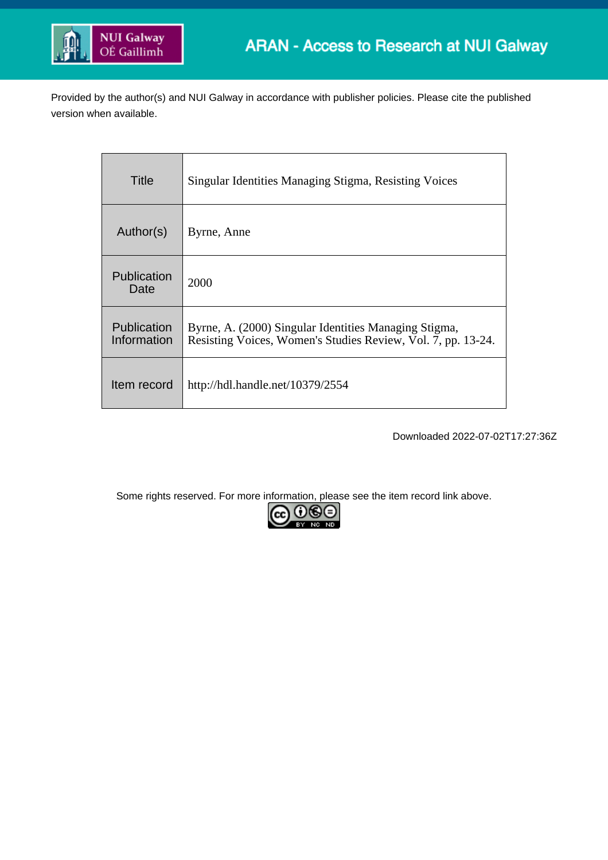

Provided by the author(s) and NUI Galway in accordance with publisher policies. Please cite the published version when available.

| Title                             | Singular Identities Managing Stigma, Resisting Voices                                                                 |
|-----------------------------------|-----------------------------------------------------------------------------------------------------------------------|
| Author(s)                         | Byrne, Anne                                                                                                           |
| Publication<br>Date               | 2000                                                                                                                  |
| <b>Publication</b><br>Information | Byrne, A. (2000) Singular Identities Managing Stigma,<br>Resisting Voices, Women's Studies Review, Vol. 7, pp. 13-24. |
| Item record                       | http://hdl.handle.net/10379/2554                                                                                      |

Downloaded 2022-07-02T17:27:36Z

Some rights reserved. For more information, please see the item record link above.

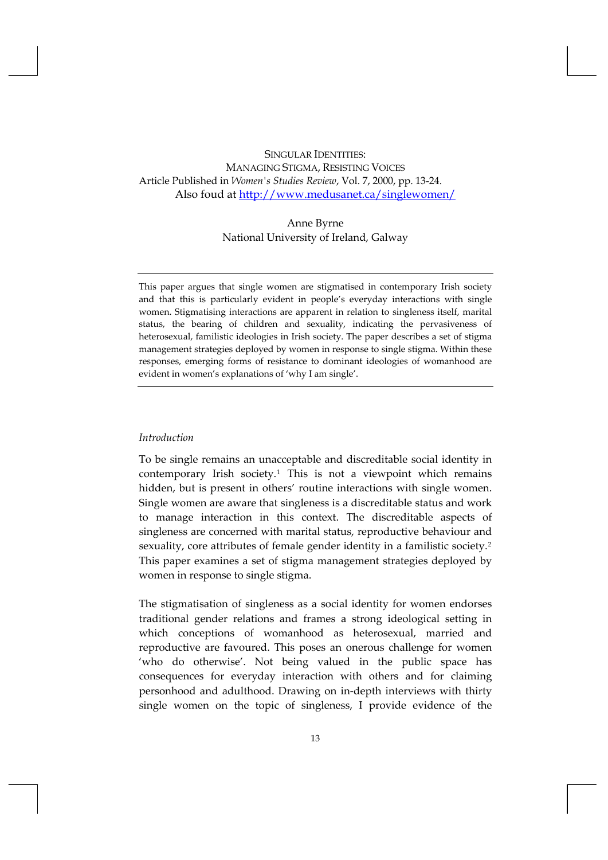# SINGULAR IDENTITIES: MANAGING STIGMA, RESISTING VOICES Article Published in *Women's Studies Review*, Vol. 7, 2000, pp. 13-24. Also foud at<http://www.medusanet.ca/singlewomen/>

# Anne Byrne National University of Ireland, Galway

This paper argues that single women are stigmatised in contemporary Irish society and that this is particularly evident in people's everyday interactions with single women. Stigmatising interactions are apparent in relation to singleness itself, marital status, the bearing of children and sexuality, indicating the pervasiveness of heterosexual, familistic ideologies in Irish society. The paper describes a set of stigma management strategies deployed by women in response to single stigma. Within these responses, emerging forms of resistance to dominant ideologies of womanhood are evident in women's explanations of 'why I am single'.

#### *Introduction*

To be single remains an unacceptable and discreditable social identity in contemporary Irish society.[1](#page-3-0) This is not a viewpoint which remains hidden, but is present in others' routine interactions with single women. Single women are aware that singleness is a discreditable status and work to manage interaction in this context. The discreditable aspects of singleness are concerned with marital status, reproductive behaviour and sexuality, core attributes of female gender identity in a familistic society.<sup>[2](#page-3-1)</sup> This paper examines a set of stigma management strategies deployed by women in response to single stigma.

The stigmatisation of singleness as a social identity for women endorses traditional gender relations and frames a strong ideological setting in which conceptions of womanhood as heterosexual, married and reproductive are favoured. This poses an onerous challenge for women 'who do otherwise'. Not being valued in the public space has consequences for everyday interaction with others and for claiming personhood and adulthood. Drawing on in‐depth interviews with thirty single women on the topic of singleness, I provide evidence of the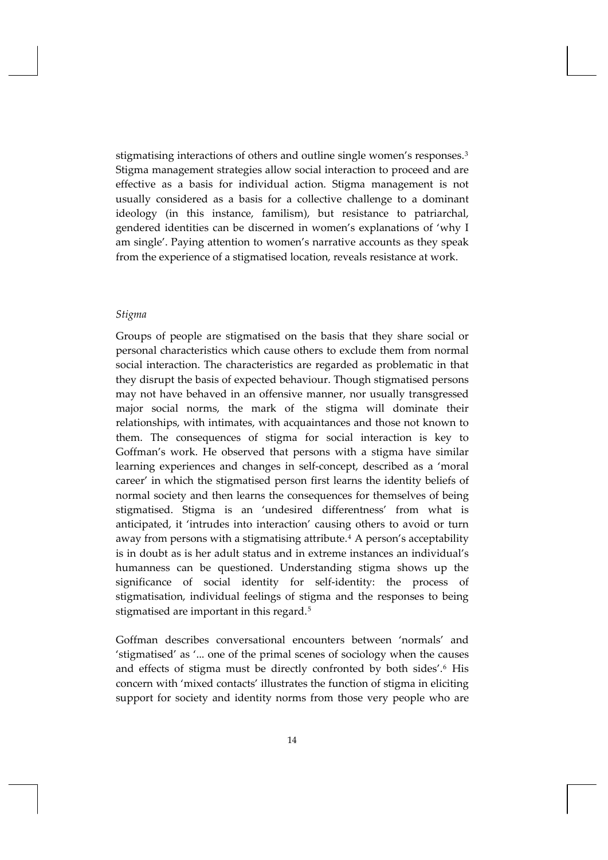stigmatising interactions of others and outline single women's responses.<sup>[3](#page-3-2)</sup> Stigma management strategies allow social interaction to proceed and are effective as a basis for individual action. Stigma management is not usually considered as a basis for a collective challenge to a dominant ideology (in this instance, familism), but resistance to patriarchal, gendered identities can be discerned in women's explanations of 'why I am single'. Paying attention to women's narrative accounts as they speak from the experience of a stigmatised location, reveals resistance at work.

#### *Stigma*

Groups of people are stigmatised on the basis that they share social or personal characteristics which cause others to exclude them from normal social interaction. The characteristics are regarded as problematic in that they disrupt the basis of expected behaviour. Though stigmatised persons may not have behaved in an offensive manner, nor usually transgressed major social norms, the mark of the stigma will dominate their relationships, with intimates, with acquaintances and those not known to them. The consequences of stigma for social interaction is key to Goffman's work. He observed that persons with a stigma have similar learning experiences and changes in self‐concept, described as a 'moral career' in which the stigmatised person first learns the identity beliefs of normal society and then learns the consequences for themselves of being stigmatised. Stigma is an 'undesired differentness' from what is anticipated, it 'intrudes into interaction' causing others to avoid or turn away from persons with a stigmatising attribute.<sup>[4](#page-3-3)</sup> A person's acceptability is in doubt as is her adult status and in extreme instances an individual's humanness can be questioned. Understanding stigma shows up the significance of social identity for self-identity: the process of stigmatisation, individual feelings of stigma and the responses to being stigmatised are important in this regard.<sup>[5](#page-3-4)</sup>

Goffman describes conversational encounters between 'normals' and 'stigmatised' as '... one of the primal scenes of sociology when the causes and effects of stigma must be directly confronted by both sides'.<sup>[6](#page-4-0)</sup> His concern with 'mixed contacts' illustrates the function of stigma in eliciting support for society and identity norms from those very people who are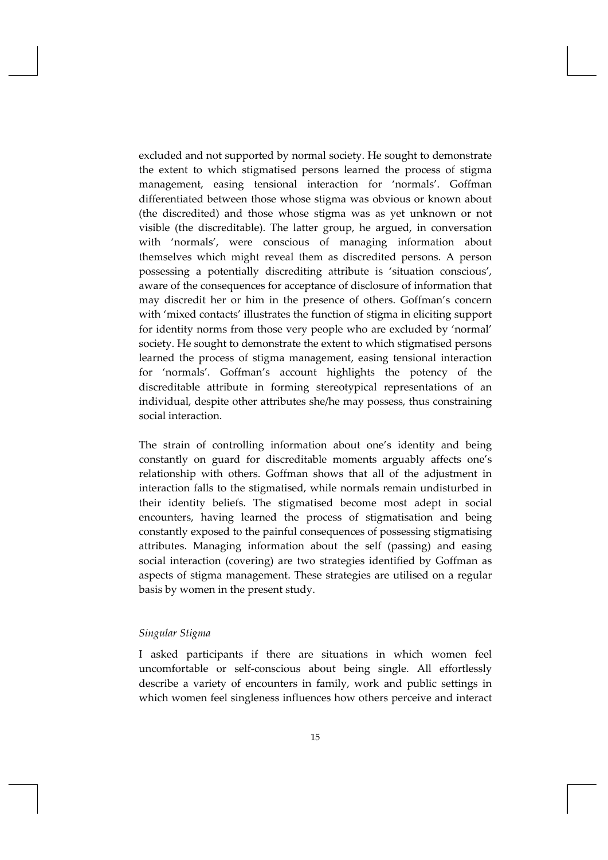<span id="page-3-0"></span>excluded and not supported by normal society. He sought to demonstrate the extent to which stigmatised persons learned the process of stigma management, easing tensional interaction for 'normals'. Goffman differentiated between those whose stigma was obvious or known about (the discredited) and those whose stigma was as yet unknown or not visible (the discreditable). The latter group, he argued, in conversation with 'normals', were conscious of managing information about themselves which might reveal them as discredited persons. A person possessing a potentially discrediting attribute is 'situation conscious', aware of the consequences for acceptance of disclosure of information that may discredit her or him in the presence of others. Goffman's concern with 'mixed contacts' illustrates the function of stigma in eliciting support for identity norms from those very people who are excluded by 'normal' society. He sought to demonstrate the extent to which stigmatised persons learned the process of stigma management, easing tensional interaction for 'normals'. Goffman's account highlights the potency of the discreditable attribute in forming stereotypical representations of an individual, despite other attributes she/he may possess, thus constraining social interaction.

<span id="page-3-3"></span><span id="page-3-2"></span><span id="page-3-1"></span>The strain of controlling information about one's identity and being constantly on guard for discreditable moments arguably affects one's relationship with others. Goffman shows that all of the adjustment in interaction falls to the stigmatised, while normals remain undisturbed in their identity beliefs. The stigmatised become most adept in social encounters, having learned the process of stigmatisation and being constantly exposed to the painful consequences of possessing stigmatising attributes. Managing information about the self (passing) and easing social interaction (covering) are two strategies identified by Goffman as aspects of stigma management. These strategies are utilised on a regular basis by women in the present study.

### <span id="page-3-4"></span>*Singular Stigma*

I asked participants if there are situations in which women feel uncomfortable or self‐conscious about being single. All effortlessly describe a variety of encounters in family, work and public settings in which women feel singleness influences how others perceive and interact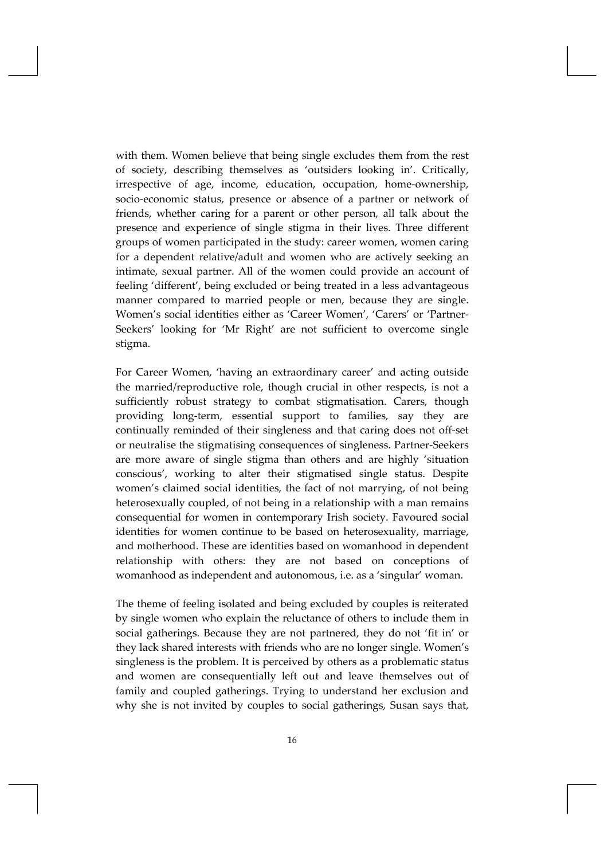<span id="page-4-1"></span><span id="page-4-0"></span>with them. Women believe that being single excludes them from the rest of society, describing themselves as 'outsiders looking in'. Critically, irrespective of age, income, education, occupation, home‐ownership, socio‐economic status, presence or absence of a partner or network of friends, whether caring for a parent or other person, all talk about the presence and experience of single stigma in their lives. Three different groups of women participated in the study: career women, women caring for a dependent relative/adult and women who are actively seeking an intimate, sexual partner. All of the women could provide an account of feeling 'different', being excluded or being treated in a less advantageous manner compared to married people or men, because they are single. Women's social identities either as 'Career Women', 'Carers' or 'Partner‐ Seekers' looking for 'Mr Right' are not sufficient to overcome single stigma.

<span id="page-4-3"></span><span id="page-4-2"></span>For Career Women, 'having an extraordinary career' and acting outside the married/reproductive role, though crucial in other respects, is not a sufficiently robust strategy to combat stigmatisation. Carers, though providing long‐term, essential support to families, say they are continually reminded of their singleness and that caring does not off‐set or neutralise the stigmatising consequences of singleness. Partner‐Seekers are more aware of single stigma than others and are highly 'situation conscious', working to alter their stigmatised single status. Despite women's claimed social identities, the fact of not marrying, of not being heterosexually coupled, of not being in a relationship with a man remains consequential for women in contemporary Irish society. Favoured social identities for women continue to be based on heterosexuality, marriage, and motherhood. These are identities based on womanhood in dependent relationship with others: they are not based on conceptions of womanhood as independent and autonomous, i.e. as a 'singular' woman.

The theme of feeling isolated and being excluded by couples is reiterated by single women who explain the reluctance of others to include them in social gatherings. Because they are not partnered, they do not 'fit in' or they lack shared interests with friends who are no longer single. Women's singleness is the problem. It is perceived by others as a problematic status and women are consequentially left out and leave themselves out of family and coupled gatherings. Trying to understand her exclusion and why she is not invited by couples to social gatherings, Susan says that,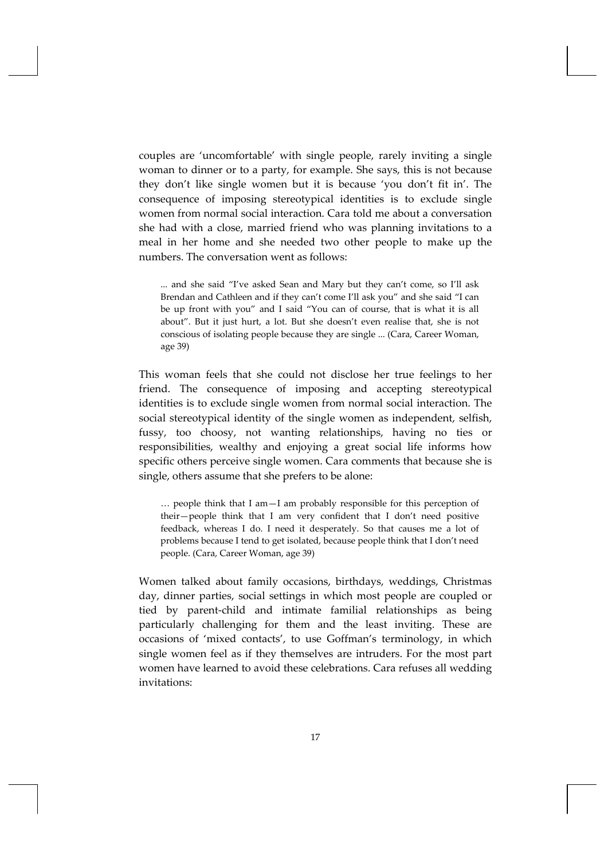couples are 'uncomfortable' with single people, rarely inviting a single woman to dinner or to a party, for example. She says, this is not because they don't like single women but it is because 'you don't fit in'. The consequence of imposing stereotypical identities is to exclude single women from normal social interaction. Cara told me about a conversation she had with a close, married friend who was planning invitations to a meal in her home and she needed two other people to make up the numbers. The conversation went as follows:

... and she said "I've asked Sean and Mary but they can't come, so I'll ask Brendan and Cathleen and if they can't come I'll ask you" and she said "I can be up front with you" and I said "You can of course, that is what it is all about". But it just hurt, a lot. But she doesn't even realise that, she is not conscious of isolating people because they are single ... (Cara, Career Woman, age 39)

This woman feels that she could not disclose her true feelings to her friend. The consequence of imposing and accepting stereotypical identities is to exclude single women from normal social interaction. The social stereotypical identity of the single women as independent, selfish, fussy, too choosy, not wanting relationships, having no ties or responsibilities, wealthy and enjoying a great social life informs how specific others perceive single women. Cara comments that because she is single, others assume that she prefers to be alone:

… people think that I am—I am probably responsible for this perception of their—people think that I am very confident that I don't need positive feedback, whereas I do. I need it desperately. So that causes me a lot of problems because I tend to get isolated, because people think that I don't need people. (Cara, Career Woman, age 39)

Women talked about family occasions, birthdays, weddings, Christmas day, dinner parties, social settings in which most people are coupled or tied by parent‐child and intimate familial relationships as being particularly challenging for them and the least inviting. These are occasions of 'mixed contacts', to use Goffman's terminology, in which single women feel as if they themselves are intruders. For the most part women have learned to avoid these celebrations. Cara refuses all wedding invitations: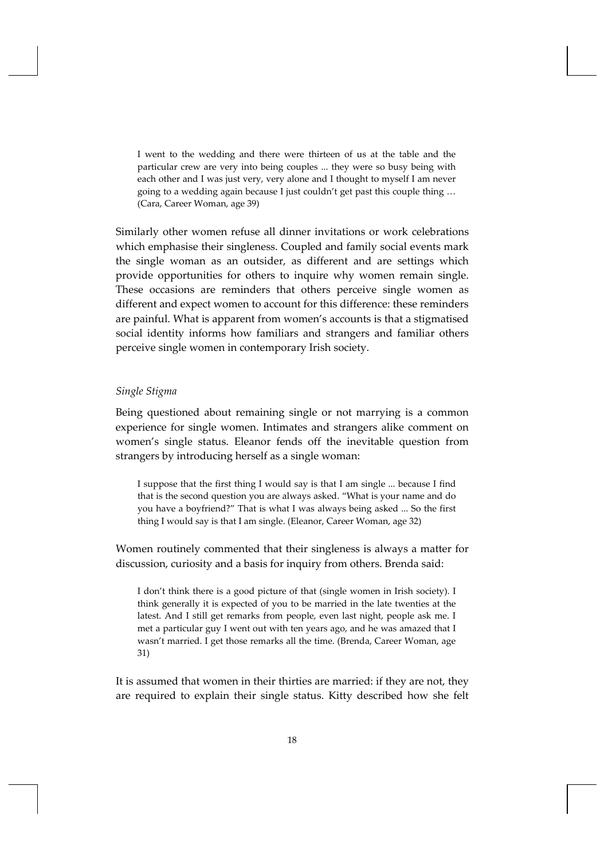I went to the wedding and there were thirteen of us at the table and the particular crew are very into being couples ... they were so busy being with each other and I was just very, very alone and I thought to myself I am never going to a wedding again because I just couldn't get past this couple thing … (Cara, Career Woman, age 39)

Similarly other women refuse all dinner invitations or work celebrations which emphasise their singleness. Coupled and family social events mark the single woman as an outsider, as different and are settings which provide opportunities for others to inquire why women remain single. These occasions are reminders that others perceive single women as different and expect women to account for this difference: these reminders are painful. What is apparent from women's accounts is that a stigmatised social identity informs how familiars and strangers and familiar others perceive single women in contemporary Irish society.

## *Single Stigma*

Being questioned about remaining single or not marrying is a common experience for single women. Intimates and strangers alike comment on women's single status. Eleanor fends off the inevitable question from strangers by introducing herself as a single woman:

I suppose that the first thing I would say is that I am single ... because I find that is the second question you are always asked. "What is your name and do you have a boyfriend?" That is what I was always being asked ... So the first thing I would say is that I am single. (Eleanor, Career Woman, age 32)

Women routinely commented that their singleness is always a matter for discussion, curiosity and a basis for inquiry from others. Brenda said:

I don't think there is a good picture of that (single women in Irish society). I think generally it is expected of you to be married in the late twenties at the latest. And I still get remarks from people, even last night, people ask me. I met a particular guy I went out with ten years ago, and he was amazed that I wasn't married. I get those remarks all the time. (Brenda, Career Woman, age 31)

It is assumed that women in their thirties are married: if they are not, they are required to explain their single status. Kitty described how she felt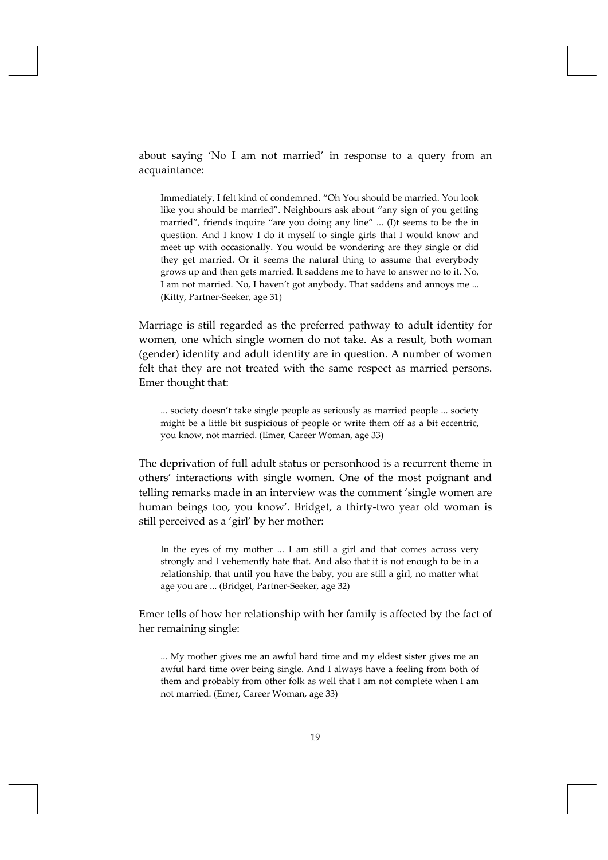about saying 'No I am not married' in response to a query from an acquaintance:

Immediately, I felt kind of condemned. "Oh You should be married. You look like you should be married". Neighbours ask about "any sign of you getting married", friends inquire "are you doing any line" ... (I)t seems to be the in question. And I know I do it myself to single girls that I would know and meet up with occasionally. You would be wondering are they single or did they get married. Or it seems the natural thing to assume that everybody grows up and then gets married. It saddens me to have to answer no to it. No, I am not married. No, I haven't got anybody. That saddens and annoys me ... (Kitty, Partner‐Seeker, age 31)

Marriage is still regarded as the preferred pathway to adult identity for women, one which single women do not take. As a result, both woman (gender) identity and adult identity are in question. A number of women felt that they are not treated with the same respect as married persons. Emer thought that:

... society doesn't take single people as seriously as married people ... society might be a little bit suspicious of people or write them off as a bit eccentric, you know, not married. (Emer, Career Woman, age 33)

The deprivation of full adult status or personhood is a recurrent theme in others' interactions with single women. One of the most poignant and telling remarks made in an interview was the comment 'single women are human beings too, you know'. Bridget, a thirty-two year old woman is still perceived as a 'girl' by her mother:

In the eyes of my mother ... I am still a girl and that comes across very strongly and I vehemently hate that. And also that it is not enough to be in a relationship, that until you have the baby, you are still a girl, no matter what age you are ... (Bridget, Partner‐Seeker, age 32)

Emer tells of how her relationship with her family is affected by the fact of her remaining single:

... My mother gives me an awful hard time and my eldest sister gives me an awful hard time over being single. And I always have a feeling from both of them and probably from other folk as well that I am not complete when I am not married. (Emer, Career Woman, age 33)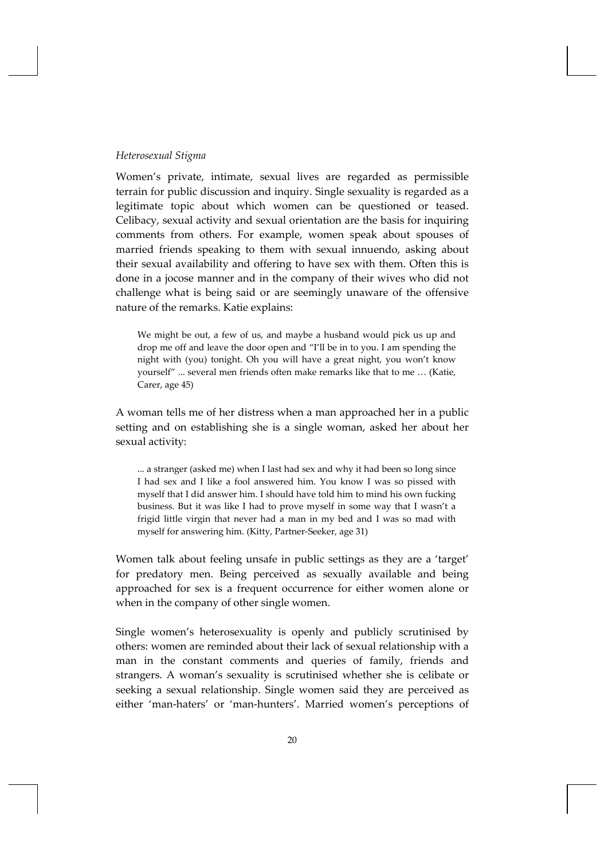## *Heterosexual Stigma*

Women's private, intimate, sexual lives are regarded as permissible terrain for public discussion and inquiry. Single sexuality is regarded as a legitimate topic about which women can be questioned or teased. Celibacy, sexual activity and sexual orientation are the basis for inquiring comments from others. For example, women speak about spouses of married friends speaking to them with sexual innuendo, asking about their sexual availability and offering to have sex with them. Often this is done in a jocose manner and in the company of their wives who did not challenge what is being said or are seemingly unaware of the offensive nature of the remarks. Katie explains:

We might be out, a few of us, and maybe a husband would pick us up and drop me off and leave the door open and "I'll be in to you. I am spending the night with (you) tonight. Oh you will have a great night, you won't know yourself" ... several men friends often make remarks like that to me … (Katie, Carer, age 45)

A woman tells me of her distress when a man approached her in a public setting and on establishing she is a single woman, asked her about her sexual activity:

... a stranger (asked me) when I last had sex and why it had been so long since I had sex and I like a fool answered him. You know I was so pissed with myself that I did answer him. I should have told him to mind his own fucking business. But it was like I had to prove myself in some way that I wasn't a frigid little virgin that never had a man in my bed and I was so mad with myself for answering him. (Kitty, Partner‐Seeker, age 31)

Women talk about feeling unsafe in public settings as they are a 'target' for predatory men. Being perceived as sexually available and being approached for sex is a frequent occurrence for either women alone or when in the company of other single women.

Single women's heterosexuality is openly and publicly scrutinised by others: women are reminded about their lack of sexual relationship with a man in the constant comments and queries of family, friends and strangers. A woman's sexuality is scrutinised whether she is celibate or seeking a sexual relationship. Single women said they are perceived as either 'man-haters' or 'man-hunters'. Married women's perceptions of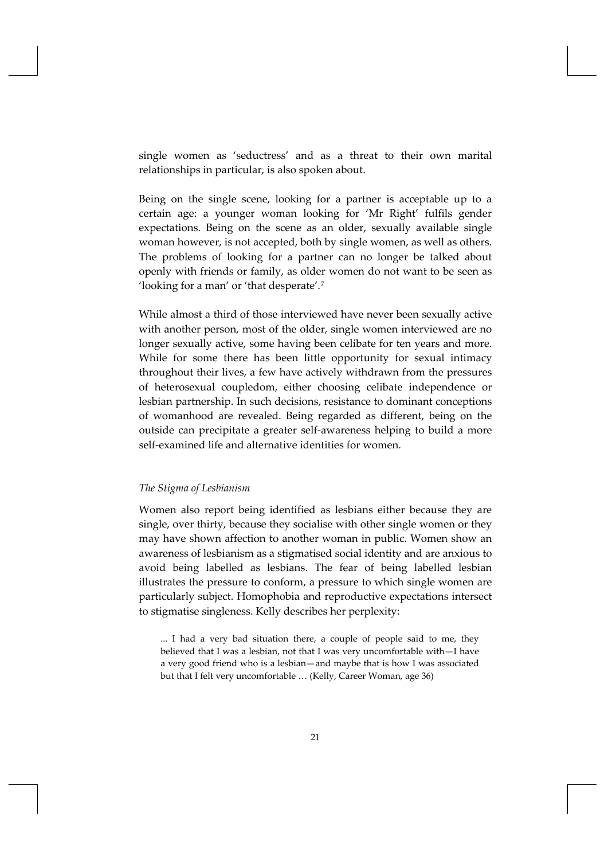single women as 'seductress' and as a threat to their own marital relationships in particular, is also spoken about.

Being on the single scene, looking for a partner is acceptable up to a certain age: a younger woman looking for 'Mr Right' fulfils gender expectations. Being on the scene as an older, sexually available single woman however, is not accepted, both by single women, as well as others. The problems of looking for a partner can no longer be talked about openly with friends or family, as older women do not want to be seen as 'looking for a man' or 'that desperate'.[7](#page-4-1)

While almost a third of those interviewed have never been sexually active with another person, most of the older, single women interviewed are no longer sexually active, some having been celibate for ten years and more. While for some there has been little opportunity for sexual intimacy throughout their lives, a few have actively withdrawn from the pressures of heterosexual coupledom, either choosing celibate independence or lesbian partnership. In such decisions, resistance to dominant conceptions of womanhood are revealed. Being regarded as different, being on the outside can precipitate a greater self‐awareness helping to build a more self‐examined life and alternative identities for women.

## *The Stigma of Lesbianism*

Women also report being identified as lesbians either because they are single, over thirty, because they socialise with other single women or they may have shown affection to another woman in public. Women show an awareness of lesbianism as a stigmatised social identity and are anxious to avoid being labelled as lesbians. The fear of being labelled lesbian illustrates the pressure to conform, a pressure to which single women are particularly subject. Homophobia and reproductive expectations intersect to stigmatise singleness. Kelly describes her perplexity:

... I had a very bad situation there, a couple of people said to me, they believed that I was a lesbian, not that I was very uncomfortable with—I have a very good friend who is a lesbian—and maybe that is how I was associated but that I felt very uncomfortable … (Kelly, Career Woman, age 36)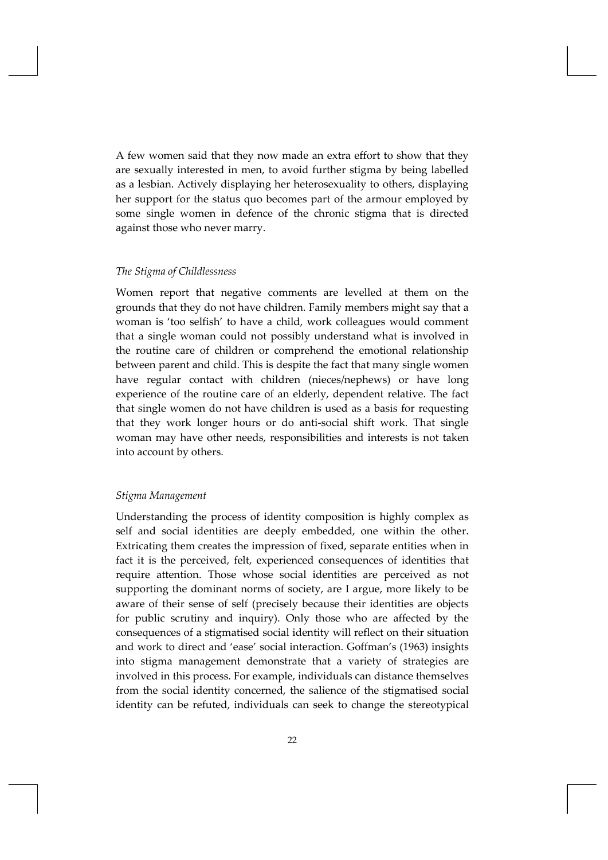A few women said that they now made an extra effort to show that they are sexually interested in men, to avoid further stigma by being labelled as a lesbian. Actively displaying her heterosexuality to others, displaying her support for the status quo becomes part of the armour employed by some single women in defence of the chronic stigma that is directed against those who never marry.

#### *The Stigma of Childlessness*

Women report that negative comments are levelled at them on the grounds that they do not have children. Family members might say that a woman is 'too selfish' to have a child, work colleagues would comment that a single woman could not possibly understand what is involved in the routine care of children or comprehend the emotional relationship between parent and child. This is despite the fact that many single women have regular contact with children (nieces/nephews) or have long experience of the routine care of an elderly, dependent relative. The fact that single women do not have children is used as a basis for requesting that they work longer hours or do anti‐social shift work. That single woman may have other needs, responsibilities and interests is not taken into account by others.

### *Stigma Management*

Understanding the process of identity composition is highly complex as self and social identities are deeply embedded, one within the other. Extricating them creates the impression of fixed, separate entities when in fact it is the perceived, felt, experienced consequences of identities that require attention. Those whose social identities are perceived as not supporting the dominant norms of society, are I argue, more likely to be aware of their sense of self (precisely because their identities are objects for public scrutiny and inquiry). Only those who are affected by the consequences of a stigmatised social identity will reflect on their situation and work to direct and 'ease' social interaction. Goffman's (1963) insights into stigma management demonstrate that a variety of strategies are involved in this process. For example, individuals can distance themselves from the social identity concerned, the salience of the stigmatised social identity can be refuted, individuals can seek to change the stereotypical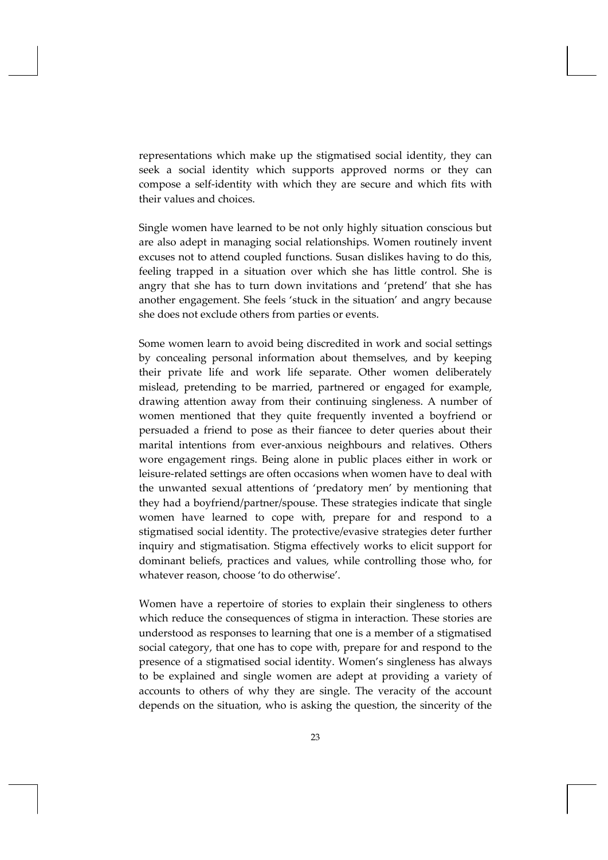representations which make up the stigmatised social identity, they can seek a social identity which supports approved norms or they can compose a self‐identity with which they are secure and which fits with their values and choices.

Single women have learned to be not only highly situation conscious but are also adept in managing social relationships. Women routinely invent excuses not to attend coupled functions. Susan dislikes having to do this, feeling trapped in a situation over which she has little control. She is angry that she has to turn down invitations and 'pretend' that she has another engagement. She feels 'stuck in the situation' and angry because she does not exclude others from parties or events.

Some women learn to avoid being discredited in work and social settings by concealing personal information about themselves, and by keeping their private life and work life separate. Other women deliberately mislead, pretending to be married, partnered or engaged for example, drawing attention away from their continuing singleness. A number of women mentioned that they quite frequently invented a boyfriend or persuaded a friend to pose as their fiancee to deter queries about their marital intentions from ever‐anxious neighbours and relatives. Others wore engagement rings. Being alone in public places either in work or leisure‐related settings are often occasions when women have to deal with the unwanted sexual attentions of 'predatory men' by mentioning that they had a boyfriend/partner/spouse. These strategies indicate that single women have learned to cope with, prepare for and respond to a stigmatised social identity. The protective/evasive strategies deter further inquiry and stigmatisation. Stigma effectively works to elicit support for dominant beliefs, practices and values, while controlling those who, for whatever reason, choose 'to do otherwise'.

Women have a repertoire of stories to explain their singleness to others which reduce the consequences of stigma in interaction. These stories are understood as responses to learning that one is a member of a stigmatised social category, that one has to cope with, prepare for and respond to the presence of a stigmatised social identity. Women's singleness has always to be explained and single women are adept at providing a variety of accounts to others of why they are single. The veracity of the account depends on the situation, who is asking the question, the sincerity of the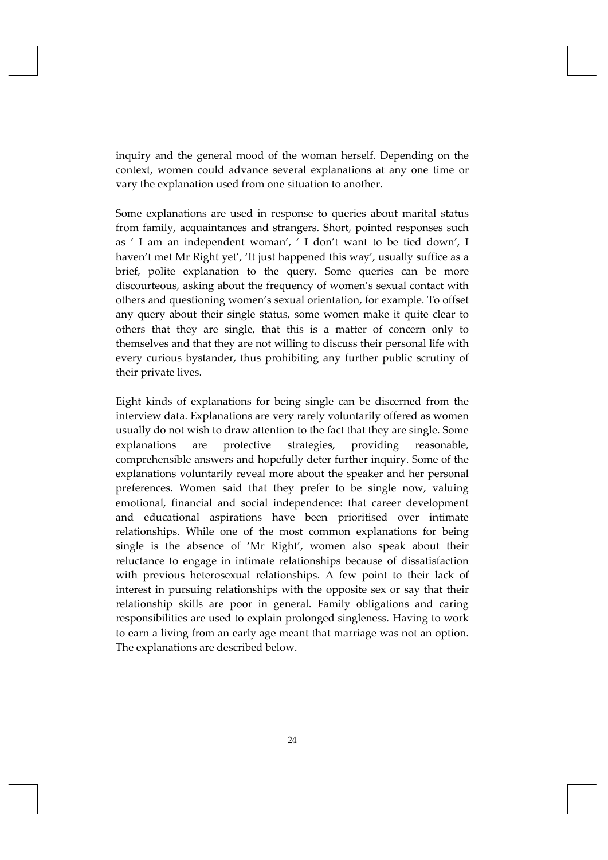inquiry and the general mood of the woman herself. Depending on the context, women could advance several explanations at any one time or vary the explanation used from one situation to another.

Some explanations are used in response to queries about marital status from family, acquaintances and strangers. Short, pointed responses such as ' I am an independent woman', ' I don't want to be tied down', I haven't met Mr Right yet', 'It just happened this way', usually suffice as a brief, polite explanation to the query. Some queries can be more discourteous, asking about the frequency of women's sexual contact with others and questioning women's sexual orientation, for example. To offset any query about their single status, some women make it quite clear to others that they are single, that this is a matter of concern only to themselves and that they are not willing to discuss their personal life with every curious bystander, thus prohibiting any further public scrutiny of their private lives.

Eight kinds of explanations for being single can be discerned from the interview data. Explanations are very rarely voluntarily offered as women usually do not wish to draw attention to the fact that they are single. Some explanations are protective strategies, providing reasonable, comprehensible answers and hopefully deter further inquiry. Some of the explanations voluntarily reveal more about the speaker and her personal preferences. Women said that they prefer to be single now, valuing emotional, financial and social independence: that career development and educational aspirations have been prioritised over intimate relationships. While one of the most common explanations for being single is the absence of 'Mr Right', women also speak about their reluctance to engage in intimate relationships because of dissatisfaction with previous heterosexual relationships. A few point to their lack of interest in pursuing relationships with the opposite sex or say that their relationship skills are poor in general. Family obligations and caring responsibilities are used to explain prolonged singleness. Having to work to earn a living from an early age meant that marriage was not an option. The explanations are described below.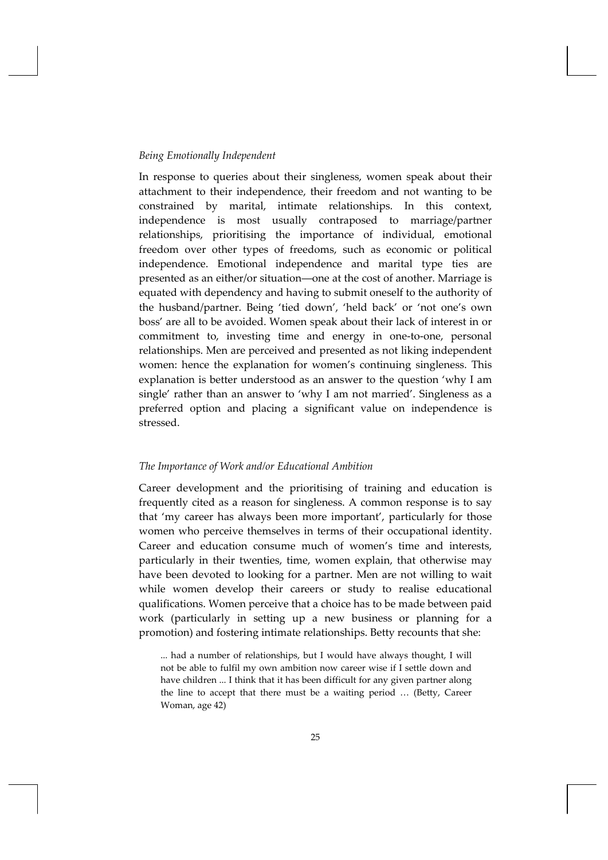#### *Being Emotionally Independent*

In response to queries about their singleness, women speak about their attachment to their independence, their freedom and not wanting to be constrained by marital, intimate relationships. In this context, independence is most usually contraposed to marriage/partner relationships, prioritising the importance of individual, emotional freedom over other types of freedoms, such as economic or political independence. Emotional independence and marital type ties are presented as an either/or situation―one at the cost of another. Marriage is equated with dependency and having to submit oneself to the authority of the husband/partner. Being 'tied down', 'held back' or 'not one's own boss' are all to be avoided. Women speak about their lack of interest in or commitment to, investing time and energy in one‐to‐one, personal relationships. Men are perceived and presented as not liking independent women: hence the explanation for women's continuing singleness. This explanation is better understood as an answer to the question 'why I am single' rather than an answer to 'why I am not married'. Singleness as a preferred option and placing a significant value on independence is stressed.

#### *The Importance of Work and/or Educational Ambition*

Career development and the prioritising of training and education is frequently cited as a reason for singleness. A common response is to say that 'my career has always been more important', particularly for those women who perceive themselves in terms of their occupational identity. Career and education consume much of women's time and interests, particularly in their twenties, time, women explain, that otherwise may have been devoted to looking for a partner. Men are not willing to wait while women develop their careers or study to realise educational qualifications. Women perceive that a choice has to be made between paid work (particularly in setting up a new business or planning for a promotion) and fostering intimate relationships. Betty recounts that she:

... had a number of relationships, but I would have always thought, I will not be able to fulfil my own ambition now career wise if I settle down and have children ... I think that it has been difficult for any given partner along the line to accept that there must be a waiting period … (Betty, Career Woman, age 42)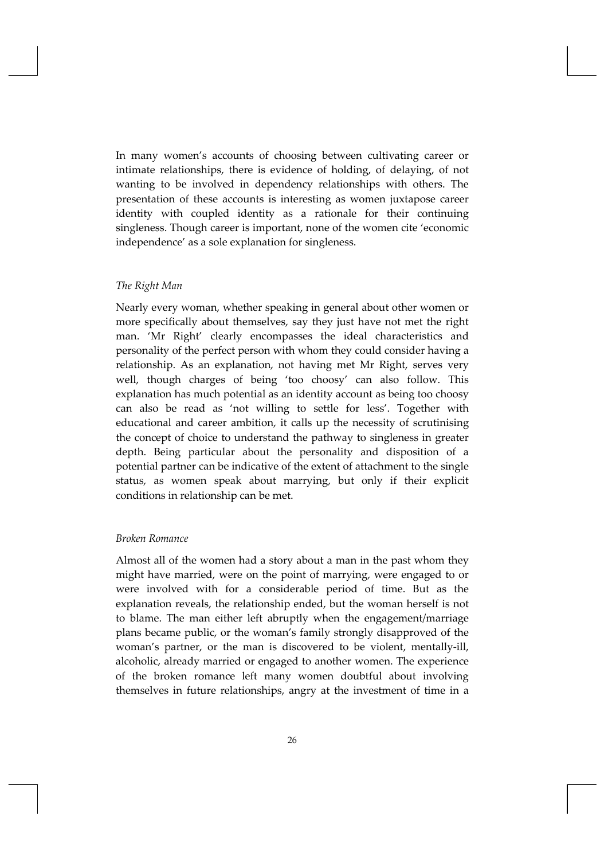In many women's accounts of choosing between cultivating career or intimate relationships, there is evidence of holding, of delaying, of not wanting to be involved in dependency relationships with others. The presentation of these accounts is interesting as women juxtapose career identity with coupled identity as a rationale for their continuing singleness. Though career is important, none of the women cite 'economic independence' as a sole explanation for singleness.

## *The Right Man*

Nearly every woman, whether speaking in general about other women or more specifically about themselves, say they just have not met the right man. 'Mr Right' clearly encompasses the ideal characteristics and personality of the perfect person with whom they could consider having a relationship. As an explanation, not having met Mr Right, serves very well, though charges of being 'too choosy' can also follow. This explanation has much potential as an identity account as being too choosy can also be read as 'not willing to settle for less'. Together with educational and career ambition, it calls up the necessity of scrutinising the concept of choice to understand the pathway to singleness in greater depth. Being particular about the personality and disposition of a potential partner can be indicative of the extent of attachment to the single status, as women speak about marrying, but only if their explicit conditions in relationship can be met.

#### *Broken Romance*

Almost all of the women had a story about a man in the past whom they might have married, were on the point of marrying, were engaged to or were involved with for a considerable period of time. But as the explanation reveals, the relationship ended, but the woman herself is not to blame. The man either left abruptly when the engagement/marriage plans became public, or the woman's family strongly disapproved of the woman's partner, or the man is discovered to be violent, mentally‐ill, alcoholic, already married or engaged to another women. The experience of the broken romance left many women doubtful about involving themselves in future relationships, angry at the investment of time in a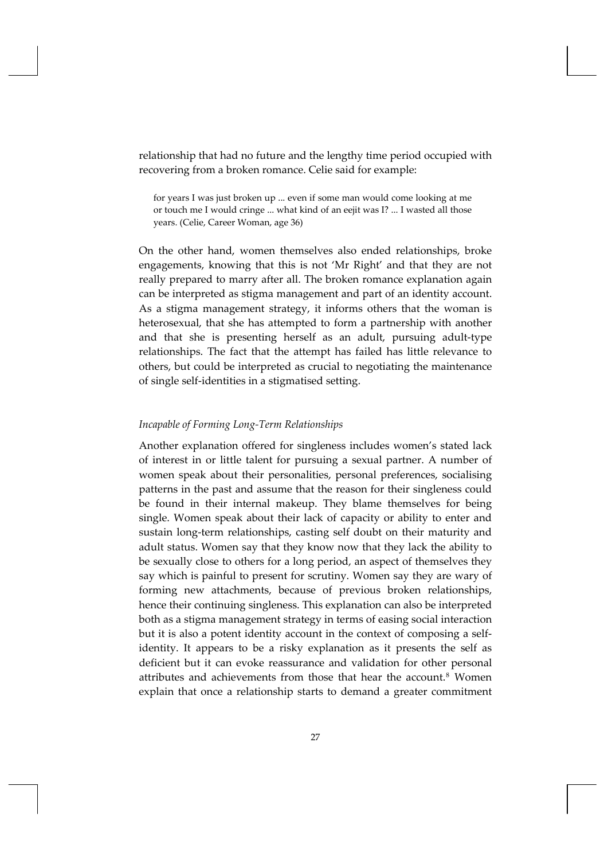relationship that had no future and the lengthy time period occupied with recovering from a broken romance. Celie said for example:

for years I was just broken up ... even if some man would come looking at me or touch me I would cringe ... what kind of an eejit was I? ... I wasted all those years. (Celie, Career Woman, age 36)

On the other hand, women themselves also ended relationships, broke engagements, knowing that this is not 'Mr Right' and that they are not really prepared to marry after all. The broken romance explanation again can be interpreted as stigma management and part of an identity account. As a stigma management strategy, it informs others that the woman is heterosexual, that she has attempted to form a partnership with another and that she is presenting herself as an adult, pursuing adult‐type relationships. The fact that the attempt has failed has little relevance to others, but could be interpreted as crucial to negotiating the maintenance of single self‐identities in a stigmatised setting.

#### *Incapable of Forming Long‐Term Relationships*

Another explanation offered for singleness includes women's stated lack of interest in or little talent for pursuing a sexual partner. A number of women speak about their personalities, personal preferences, socialising patterns in the past and assume that the reason for their singleness could be found in their internal makeup. They blame themselves for being single. Women speak about their lack of capacity or ability to enter and sustain long-term relationships, casting self doubt on their maturity and adult status. Women say that they know now that they lack the ability to be sexually close to others for a long period, an aspect of themselves they say which is painful to present for scrutiny. Women say they are wary of forming new attachments, because of previous broken relationships, hence their continuing singleness. This explanation can also be interpreted both as a stigma management strategy in terms of easing social interaction but it is also a potent identity account in the context of composing a selfidentity. It appears to be a risky explanation as it presents the self as deficient but it can evoke reassurance and validation for other personal attributes and achievements from those that hear the account.<sup>[8](#page-4-2)</sup> Women explain that once a relationship starts to demand a greater commitment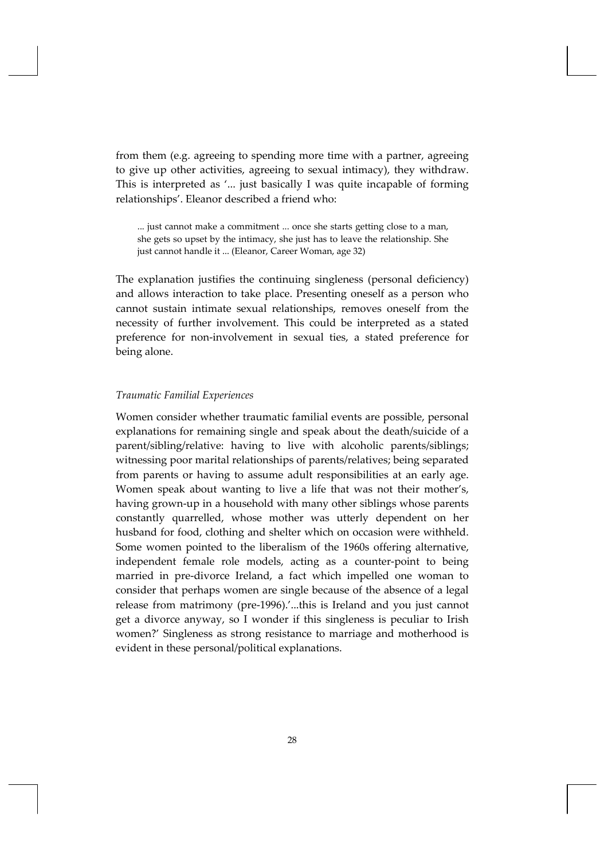from them (e.g. agreeing to spending more time with a partner, agreeing to give up other activities, agreeing to sexual intimacy), they withdraw. This is interpreted as '... just basically I was quite incapable of forming relationships'. Eleanor described a friend who:

... just cannot make a commitment ... once she starts getting close to a man, she gets so upset by the intimacy, she just has to leave the relationship. She just cannot handle it ... (Eleanor, Career Woman, age 32)

The explanation justifies the continuing singleness (personal deficiency) and allows interaction to take place. Presenting oneself as a person who cannot sustain intimate sexual relationships, removes oneself from the necessity of further involvement. This could be interpreted as a stated preference for non‐involvement in sexual ties, a stated preference for being alone.

## *Traumatic Familial Experiences*

Women consider whether traumatic familial events are possible, personal explanations for remaining single and speak about the death/suicide of a parent/sibling/relative: having to live with alcoholic parents/siblings; witnessing poor marital relationships of parents/relatives; being separated from parents or having to assume adult responsibilities at an early age. Women speak about wanting to live a life that was not their mother's, having grown‐up in a household with many other siblings whose parents constantly quarrelled, whose mother was utterly dependent on her husband for food, clothing and shelter which on occasion were withheld. Some women pointed to the liberalism of the 1960s offering alternative, independent female role models, acting as a counter-point to being married in pre‐divorce Ireland, a fact which impelled one woman to consider that perhaps women are single because of the absence of a legal release from matrimony (pre‐1996).'...this is Ireland and you just cannot get a divorce anyway, so I wonder if this singleness is peculiar to Irish women?' Singleness as strong resistance to marriage and motherhood is evident in these personal/political explanations.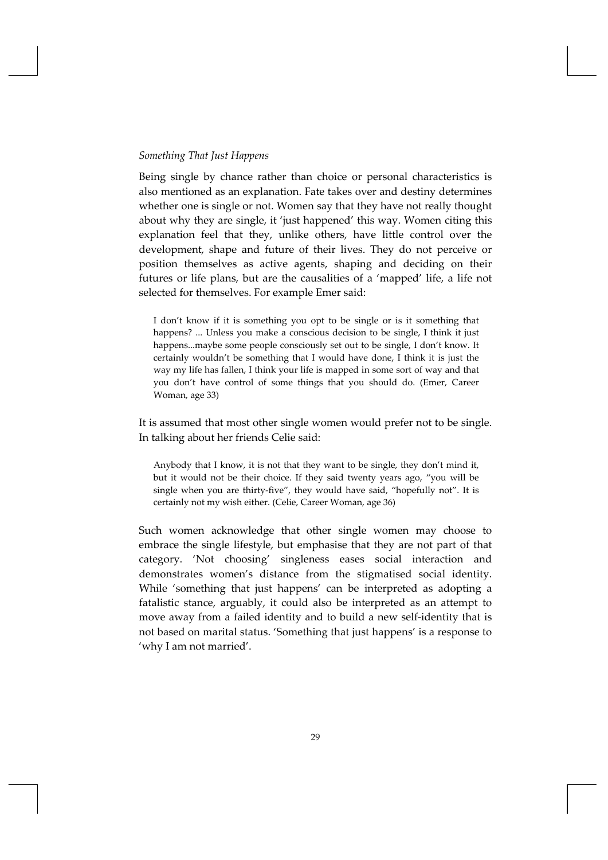#### *Something That Just Happens*

Being single by chance rather than choice or personal characteristics is also mentioned as an explanation. Fate takes over and destiny determines whether one is single or not. Women say that they have not really thought about why they are single, it 'just happened' this way. Women citing this explanation feel that they, unlike others, have little control over the development, shape and future of their lives. They do not perceive or position themselves as active agents, shaping and deciding on their futures or life plans, but are the causalities of a 'mapped' life, a life not selected for themselves. For example Emer said:

I don't know if it is something you opt to be single or is it something that happens? ... Unless you make a conscious decision to be single, I think it just happens...maybe some people consciously set out to be single, I don't know. It certainly wouldn't be something that I would have done, I think it is just the way my life has fallen, I think your life is mapped in some sort of way and that you don't have control of some things that you should do. (Emer, Career Woman, age 33)

It is assumed that most other single women would prefer not to be single. In talking about her friends Celie said:

Anybody that I know, it is not that they want to be single, they don't mind it, but it would not be their choice. If they said twenty years ago, "you will be single when you are thirty-five", they would have said, "hopefully not". It is certainly not my wish either. (Celie, Career Woman, age 36)

Such women acknowledge that other single women may choose to embrace the single lifestyle, but emphasise that they are not part of that category. 'Not choosing' singleness eases social interaction and demonstrates women's distance from the stigmatised social identity. While 'something that just happens' can be interpreted as adopting a fatalistic stance, arguably, it could also be interpreted as an attempt to move away from a failed identity and to build a new self‐identity that is not based on marital status. 'Something that just happens' is a response to 'why I am not married'.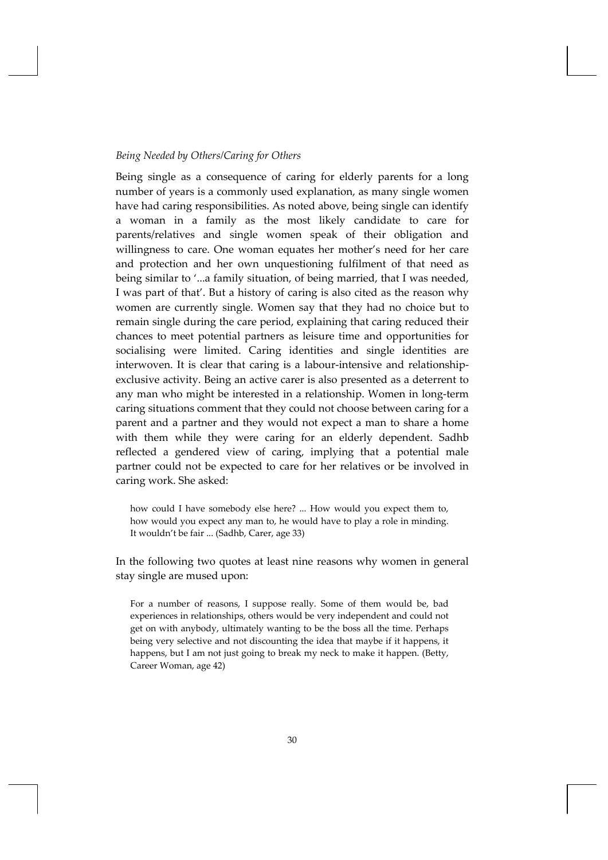#### *Being Needed by Others/Caring for Others*

Being single as a consequence of caring for elderly parents for a long number of years is a commonly used explanation, as many single women have had caring responsibilities. As noted above, being single can identify a woman in a family as the most likely candidate to care for parents/relatives and single women speak of their obligation and willingness to care. One woman equates her mother's need for her care and protection and her own unquestioning fulfilment of that need as being similar to '...a family situation, of being married, that I was needed, I was part of that'. But a history of caring is also cited as the reason why women are currently single. Women say that they had no choice but to remain single during the care period, explaining that caring reduced their chances to meet potential partners as leisure time and opportunities for socialising were limited. Caring identities and single identities are interwoven. It is clear that caring is a labour-intensive and relationshipexclusive activity. Being an active carer is also presented as a deterrent to any man who might be interested in a relationship. Women in long‐term caring situations comment that they could not choose between caring for a parent and a partner and they would not expect a man to share a home with them while they were caring for an elderly dependent. Sadhb reflected a gendered view of caring, implying that a potential male partner could not be expected to care for her relatives or be involved in caring work. She asked:

how could I have somebody else here? ... How would you expect them to, how would you expect any man to, he would have to play a role in minding. It wouldn't be fair ... (Sadhb, Carer, age 33)

In the following two quotes at least nine reasons why women in general stay single are mused upon:

For a number of reasons, I suppose really. Some of them would be, bad experiences in relationships, others would be very independent and could not get on with anybody, ultimately wanting to be the boss all the time. Perhaps being very selective and not discounting the idea that maybe if it happens, it happens, but I am not just going to break my neck to make it happen. (Betty, Career Woman, age 42)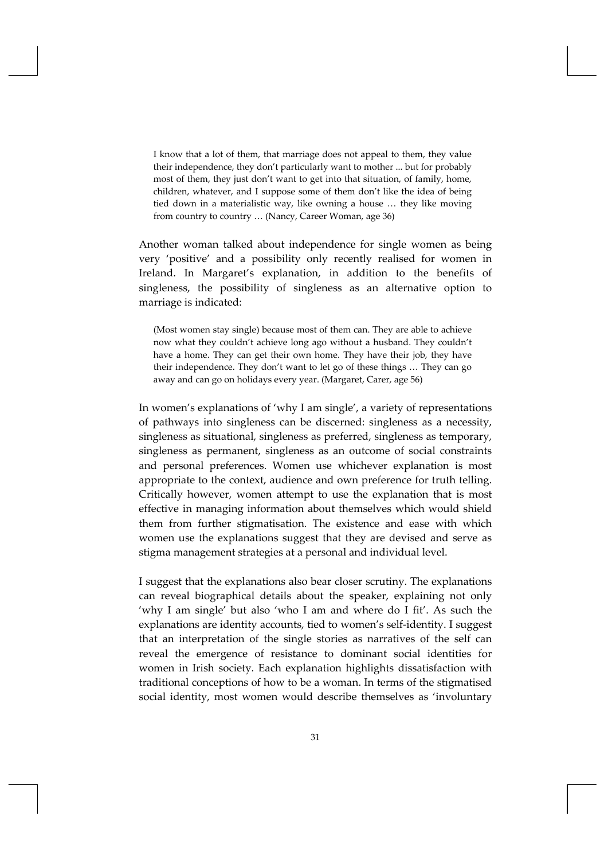I know that a lot of them, that marriage does not appeal to them, they value their independence, they don't particularly want to mother ... but for probably most of them, they just don't want to get into that situation, of family, home, children, whatever, and I suppose some of them don't like the idea of being tied down in a materialistic way, like owning a house … they like moving from country to country … (Nancy, Career Woman, age 36)

Another woman talked about independence for single women as being very 'positive' and a possibility only recently realised for women in Ireland. In Margaret's explanation, in addition to the benefits of singleness, the possibility of singleness as an alternative option to marriage is indicated:

(Most women stay single) because most of them can. They are able to achieve now what they couldn't achieve long ago without a husband. They couldn't have a home. They can get their own home. They have their job, they have their independence. They don't want to let go of these things … They can go away and can go on holidays every year. (Margaret, Carer, age 56)

In women's explanations of 'why I am single', a variety of representations of pathways into singleness can be discerned: singleness as a necessity, singleness as situational, singleness as preferred, singleness as temporary, singleness as permanent, singleness as an outcome of social constraints and personal preferences. Women use whichever explanation is most appropriate to the context, audience and own preference for truth telling. Critically however, women attempt to use the explanation that is most effective in managing information about themselves which would shield them from further stigmatisation. The existence and ease with which women use the explanations suggest that they are devised and serve as stigma management strategies at a personal and individual level.

I suggest that the explanations also bear closer scrutiny. The explanations can reveal biographical details about the speaker, explaining not only 'why I am single' but also 'who I am and where do I fit'. As such the explanations are identity accounts, tied to women's self‐identity. I suggest that an interpretation of the single stories as narratives of the self can reveal the emergence of resistance to dominant social identities for women in Irish society. Each explanation highlights dissatisfaction with traditional conceptions of how to be a woman. In terms of the stigmatised social identity, most women would describe themselves as 'involuntary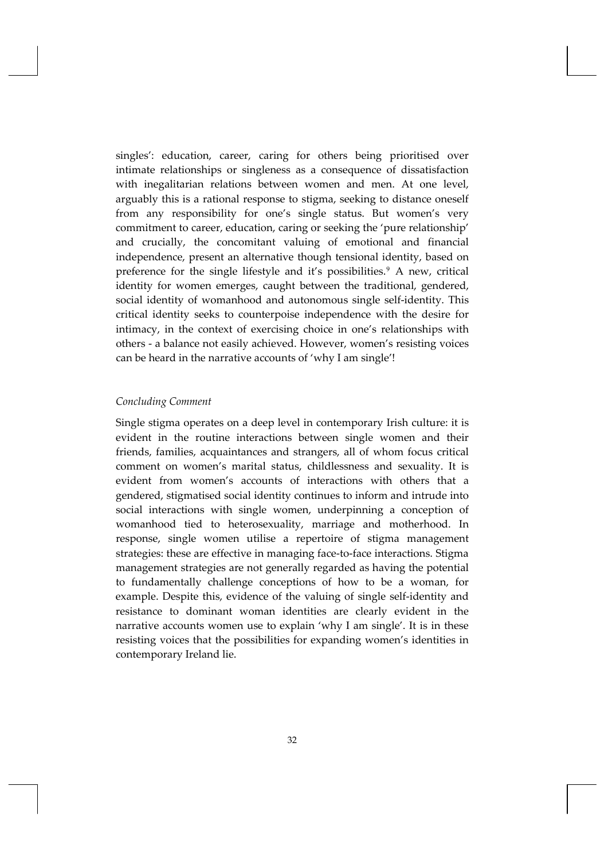singles': education, career, caring for others being prioritised over intimate relationships or singleness as a consequence of dissatisfaction with inegalitarian relations between women and men. At one level, arguably this is a rational response to stigma, seeking to distance oneself from any responsibility for one's single status. But women's very commitment to career, education, caring or seeking the 'pure relationship' and crucially, the concomitant valuing of emotional and financial independence, present an alternative though tensional identity, based on preference for the single lifestyle and it's possibilities.<sup>[9](#page-4-3)</sup> A new, critical identity for women emerges, caught between the traditional, gendered, social identity of womanhood and autonomous single self-identity. This critical identity seeks to counterpoise independence with the desire for intimacy, in the context of exercising choice in one's relationships with others ‐ a balance not easily achieved. However, women's resisting voices can be heard in the narrative accounts of 'why I am single'!

## *Concluding Comment*

Single stigma operates on a deep level in contemporary Irish culture: it is evident in the routine interactions between single women and their friends, families, acquaintances and strangers, all of whom focus critical comment on women's marital status, childlessness and sexuality. It is evident from women's accounts of interactions with others that a gendered, stigmatised social identity continues to inform and intrude into social interactions with single women, underpinning a conception of womanhood tied to heterosexuality, marriage and motherhood. In response, single women utilise a repertoire of stigma management strategies: these are effective in managing face‐to‐face interactions. Stigma management strategies are not generally regarded as having the potential to fundamentally challenge conceptions of how to be a woman, for example. Despite this, evidence of the valuing of single self-identity and resistance to dominant woman identities are clearly evident in the narrative accounts women use to explain 'why I am single'. It is in these resisting voices that the possibilities for expanding women's identities in contemporary Ireland lie.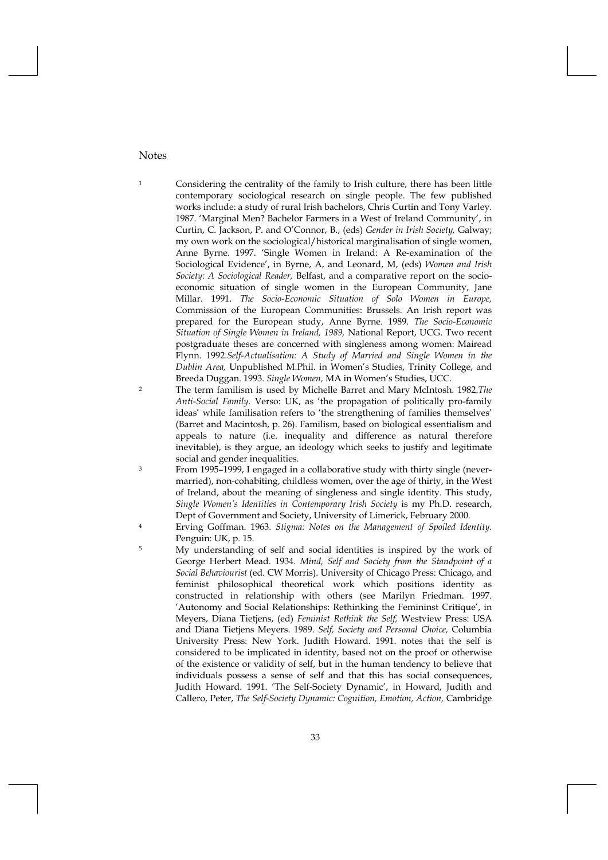## Notes

<sup>1</sup> Considering the centrality of the family to Irish culture, there has been little contemporary sociological research on single people. The few published works include: a study of rural Irish bachelors, Chris Curtin and Tony Varley. 1987. 'Marginal Men? Bachelor Farmers in a West of Ireland Community', in Curtin, C. Jackson, P. and O'Connor, B., (eds) *Gender in Irish Society,* Galway; my own work on the sociological/historical marginalisation of single women, Anne Byrne. 1997. 'Single Women in Ireland: A Re-examination of the Sociological Evidence', in Byrne, A, and Leonard, M, (eds) *Women and Irish Society: A Sociological Reader,* Belfast, and a comparative report on the socioeconomic situation of single women in the European Community, Jane Millar. 1991. *The Socio-Economic Situation of Solo Women in Europe,* Commission of the European Communities: Brussels. An Irish report was prepared for the European study, Anne Byrne. 1989. *The Socio-Economic Situation of Single Women in Ireland, 1989,* National Report, UCG. Two recent postgraduate theses are concerned with singleness among women: Mairead Flynn. 1992.*Self-Actualisation: A Study of Married and Single Women in the Dublin Area,* Unpublished M.Phil. in Women's Studies, Trinity College, and Breeda Duggan. 1993. *Single Women,* MA in Women's Studies, UCC.

- 2 The term familism is used by Michelle Barret and Mary McIntosh. 1982.*The Anti-Social Family.* Verso: UK, as 'the propagation of politically pro-family ideas' while familisation refers to 'the strengthening of families themselves' (Barret and Macintosh, p. 26). Familism, based on biological essentialism and appeals to nature (i.e. inequality and difference as natural therefore inevitable), is they argue, an ideology which seeks to justify and legitimate social and gender inequalities.
- 3 From 1995–1999, I engaged in a collaborative study with thirty single (nevermarried), non-cohabiting, childless women, over the age of thirty, in the West of Ireland, about the meaning of singleness and single identity. This study, *Single Women's Identities in Contemporary Irish Society* is my Ph.D. research, Dept of Government and Society, University of Limerick, February 2000.
- 4 Erving Goffman. 1963. *Stigma: Notes on the Management of Spoiled Identity.* Penguin: UK, p. 15.
- 5 My understanding of self and social identities is inspired by the work of George Herbert Mead. 1934. *Mind, Self and Society from the Standpoint of a Social Behaviourist* (ed. CW Morris). University of Chicago Press: Chicago, and feminist philosophical theoretical work which positions identity as constructed in relationship with others (see Marilyn Friedman. 1997. 'Autonomy and Social Relationships: Rethinking the Femininst Critique', in Meyers, Diana Tietjens, (ed) *Feminist Rethink the Self,* Westview Press: USA and Diana Tietjens Meyers. 1989. *Self, Society and Personal Choice,* Columbia University Press: New York. Judith Howard. 1991. notes that the self is considered to be implicated in identity, based not on the proof or otherwise of the existence or validity of self, but in the human tendency to believe that individuals possess a sense of self and that this has social consequences, Judith Howard. 1991. 'The Self-Society Dynamic', in Howard, Judith and Callero, Peter, *The Self-Society Dynamic: Cognition, Emotion, Action,* Cambridge